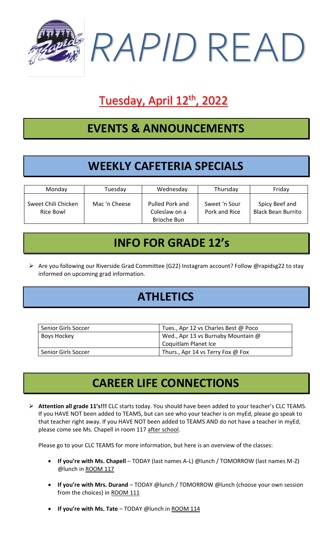

# Tuesday, April 12<sup>th</sup>, 2022

#### **EVENTS & ANNOUNCEMENTS**

## **WEEKLY CAFETERIA SPECIALS**

| Monday                           | Tuesday       | Wednesday                                       | Thursday                       | Friday                                      |
|----------------------------------|---------------|-------------------------------------------------|--------------------------------|---------------------------------------------|
| Sweet Chili Chicken<br>Rice Bowl | Mac 'n Cheese | Pulled Pork and<br>Coleslaw on a<br>Brioche Bun | Sweet 'n Sour<br>Pork and Rice | Spicy Beef and<br><b>Black Bean Burrito</b> |

#### **INFO FOR GRADE 12's**

➢ Are you following our Riverside Grad Committee (G22) Instagram account? Follow @rapidsg22 to stay informed on upcoming grad information.

### **ATHLETICS**

| Senior Girls Soccer | Tues., Apr 12 vs Charles Best @ Poco |  |
|---------------------|--------------------------------------|--|
| Boys Hockey         | Wed., Apr 13 vs Burnaby Mountain @   |  |
|                     | Coquitlam Planet Ice                 |  |
| Senior Girls Soccer | Thurs., Apr 14 vs Terry Fox @ Fox    |  |

### **CAREER LIFE CONNECTIONS**

➢ **Attention all grade 11's!!!** CLC starts today. You should have been added to your teacher's CLC TEAMS. If you HAVE NOT been added to TEAMS, but can see who your teacher is on myEd, please go speak to that teacher right away. If you HAVE NOT been added to TEAMS AND do not have a teacher in myEd, please come see Ms. Chapell in room 117 after school.

Please go to your CLC TEAMS for more information, but here is an overview of the classes:

- **If you're with Ms. Chapell** TODAY (last names A-L) @lunch / TOMORROW (last names M-Z) @lunch in ROOM 117
- **If you're with Mrs. Durand** TODAY @lunch / TOMORROW @lunch (choose your own session from the choices) in ROOM 111
- **If you're with Ms. Tate** TODAY @lunch in ROOM 114